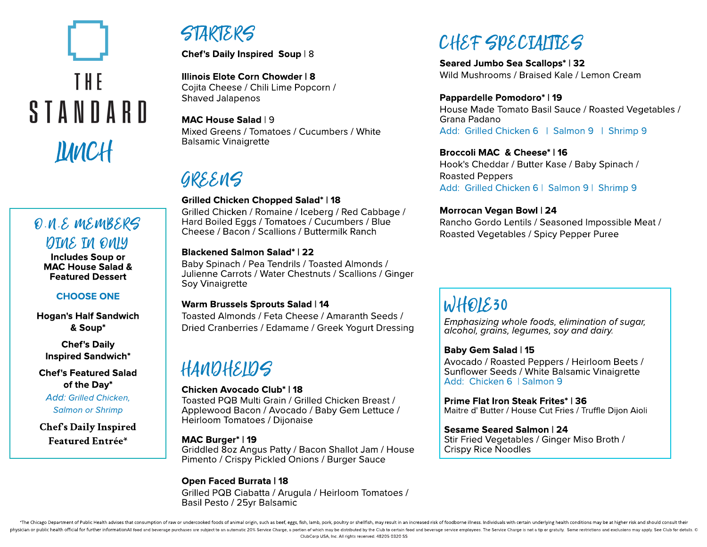# THE STANDARD LUNCH

# O.N.E MEMBERS DINE IN ONLY

Includes Soup or MAC House Salad & Featured Dessert

## CHOOSE ONE

Hogan's Half Sandwich & Soup\*

Chef's Daily Inspired Sandwich\*

Chef's Featured Salad of the Day\*

**Add: Grilled Chicken, Salmon or Shrimp**

Chef'sDaily Inspired Featured Entrée\*

# STARTERS

Chef's Daily Inspired Soup | 8

Illinois Elote Corn Chowder | 8 Cojita Cheese / Chili Lime Popcorn / Shaved Jalapenos

MAC House Salad | 9 Mixed Greens / Tomatoes / Cucumbers / White Balsamic Vinaigrette

# GREENS

## Grilled Chicken Chopped Salad\* | 18

Grilled Chicken / Romaine / Iceberg / Red Cabbage / Hard Boiled Eggs / Tomatoes / Cucumbers / Blue Cheese / Bacon / Scallions / Buttermilk Ranch

## Blackened Salmon Salad\* | 22

Baby Spinach / Pea Tendrils / Toasted Almonds / Julienne Carrots / Water Chestnuts / Scallions / Ginger Soy Vinaigrette

## Warm Brussels Sprouts Salad | 14

Toasted Almonds / Feta Cheese / Amaranth Seeds / Dried Cranberries / Edamame / Greek Yogurt Dressing

# HANDHELDS

#### Chicken Avocado Club\* | 18

Toasted PQB Multi Grain / Grilled Chicken Breast / Applewood Bacon / Avocado / Baby Gem Lettuce / Heirloom Tomatoes / Dijonaise

## MAC Burger\* | 19

Griddled 8oz Angus Patty / Bacon Shallot Jam / House Pimento / Crispy Pickled Onions / Burger Sauce

## Open Faced Burrata | 18

Grilled PQB Ciabatta / Arugula / Heirloom Tomatoes / Basil Pesto / 25yr Balsamic

# $C$ HEF SPECIALTIES

Seared Jumbo Sea Scallops\* | 32 Wild Mushrooms / Braised Kale / Lemon Cream

#### Pappardelle Pomodoro\* | 19

House Made Tomato Basil Sauce / Roasted Vegetables / Grana Padano Add: Grilled Chicken 6 | Salmon 9 | Shrimp 9

## Broccoli MAC & Cheese\* | 16

Hook's Cheddar / Butter Kase / Baby Spinach / Roasted Peppers Add: Grilled Chicken 6 | Salmon 9 | Shrimp 9

#### Morrocan Vegan Bowl | 24

Rancho Gordo Lentils / Seasoned Impossible Meat / Roasted Vegetables / Spicy Pepper Puree

# WHOLE30

**Emphasizing whole foods, elimination of sugar, alcohol, grains, legumes, soy and dairy.**

## Baby Gem Salad | 15

Avocado / Roasted Peppers / Heirloom Beets / Sunflower Seeds / White Balsamic Vinaigrette Add: Chicken 6 | Salmon 9

Prime Flat Iron Steak Frites\* | 36 Maitre d' Butter / House Cut Fries / Truffle Dijon Aioli

#### Sesame Seared Salmon | 24

Stir Fried Vegetables / Ginger Miso Broth / Crispy Rice Noodles

\*The Chicago Department of Public Health advises that consumption of raw or undercooked foods of animal origin, such as beef, eggs, fish, lamb, pork, poultry or shellfish, may result in an increased risk of foodborne illne physician or public health official for further informationAll food and beverage purchases are subject to an automatic 20% Service Charge, a portion of which may be distributed by the Club to certain food and beverage serv ClubCorp USA, Inc. All rights reserved. 48205 0320 SS